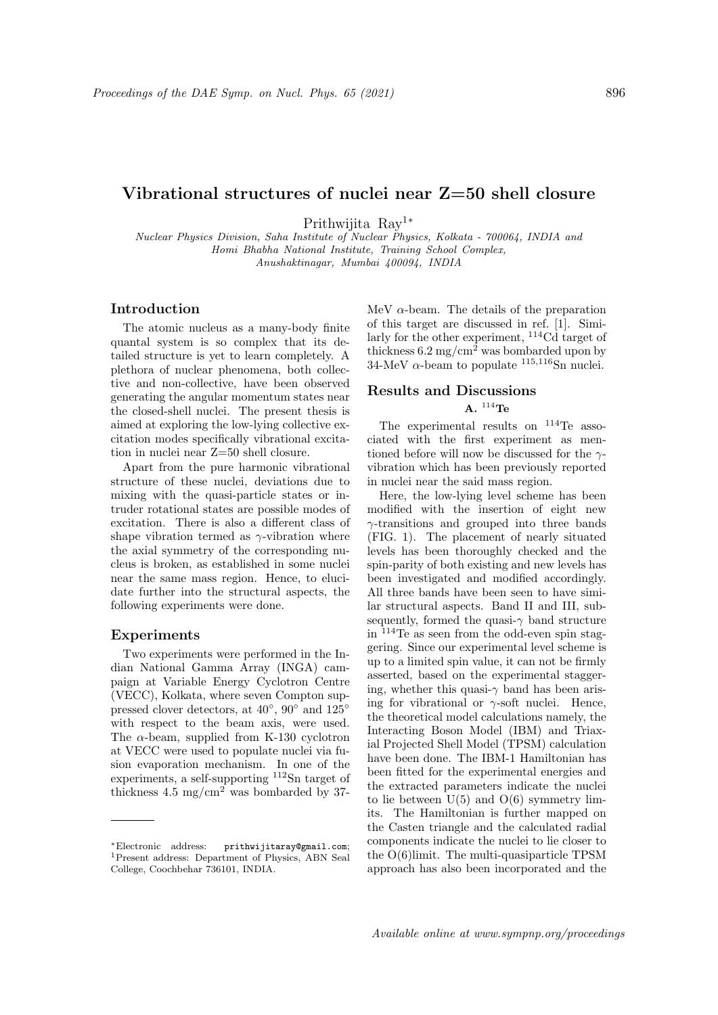# Vibrational structures of nuclei near Z=50 shell closure

Prithwijita Ray<sup>1</sup><sup>∗</sup>

Nuclear Physics Division, Saha Institute of Nuclear Physics, Kolkata - 700064, INDIA and Homi Bhabha National Institute, Training School Complex, Anushaktinagar, Mumbai 400094, INDIA

### Introduction

The atomic nucleus as a many-body finite quantal system is so complex that its detailed structure is yet to learn completely. A plethora of nuclear phenomena, both collective and non-collective, have been observed generating the angular momentum states near the closed-shell nuclei. The present thesis is aimed at exploring the low-lying collective excitation modes specifically vibrational excitation in nuclei near Z=50 shell closure.

Apart from the pure harmonic vibrational structure of these nuclei, deviations due to mixing with the quasi-particle states or intruder rotational states are possible modes of excitation. There is also a different class of shape vibration termed as  $\gamma$ -vibration where the axial symmetry of the corresponding nucleus is broken, as established in some nuclei near the same mass region. Hence, to elucidate further into the structural aspects, the following experiments were done.

#### Experiments

Two experiments were performed in the Indian National Gamma Array (INGA) campaign at Variable Energy Cyclotron Centre (VECC), Kolkata, where seven Compton suppressed clover detectors, at 40<sup>°</sup>, 90<sup>°</sup> and 125<sup>°</sup> with respect to the beam axis, were used. The  $\alpha$ -beam, supplied from K-130 cyclotron at VECC were used to populate nuclei via fusion evaporation mechanism. In one of the experiments, a self-supporting <sup>112</sup>Sn target of thickness  $4.5 \text{ mg/cm}^2$  was bombarded by 37MeV  $\alpha$ -beam. The details of the preparation of this target are discussed in ref. [1]. Similarly for the other experiment, <sup>114</sup>Cd target of thickness  $6.2 \text{ mg/cm}^2$  was bombarded upon by  $34$ -MeV  $\alpha$ -beam to populate  $^{115,116}$ Sn nuclei.

## Results and Discussions  $A.$ <sup>114</sup>Te

The experimental results on <sup>114</sup>Te associated with the first experiment as mentioned before will now be discussed for the  $\gamma$ vibration which has been previously reported in nuclei near the said mass region.

Here, the low-lying level scheme has been modified with the insertion of eight new  $\gamma$ -transitions and grouped into three bands (FIG. 1). The placement of nearly situated levels has been thoroughly checked and the spin-parity of both existing and new levels has been investigated and modified accordingly. All three bands have been seen to have similar structural aspects. Band II and III, subsequently, formed the quasi- $\gamma$  band structure in <sup>114</sup>Te as seen from the odd-even spin staggering. Since our experimental level scheme is up to a limited spin value, it can not be firmly asserted, based on the experimental staggering, whether this quasi- $\gamma$  band has been arising for vibrational or  $\gamma$ -soft nuclei. Hence, the theoretical model calculations namely, the Interacting Boson Model (IBM) and Triaxial Projected Shell Model (TPSM) calculation have been done. The IBM-1 Hamiltonian has been fitted for the experimental energies and the extracted parameters indicate the nuclei to lie between  $U(5)$  and  $O(6)$  symmetry limits. The Hamiltonian is further mapped on the Casten triangle and the calculated radial components indicate the nuclei to lie closer to the O(6)limit. The multi-quasiparticle TPSM approach has also been incorporated and the

<sup>∗</sup>Electronic address: prithwijitaray@gmail.com; <sup>1</sup>Present address: Department of Physics, ABN Seal College, Coochbehar 736101, INDIA.